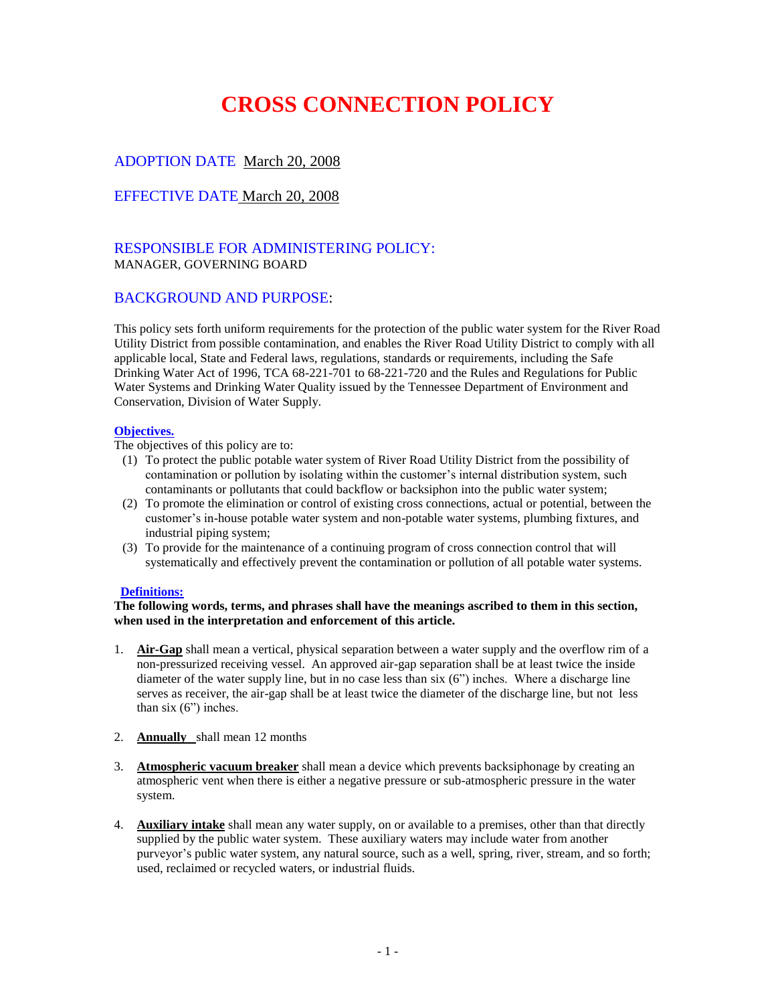# **CROSS CONNECTION POLICY**

## ADOPTION DATE March 20, 2008

## EFFECTIVE DATE March 20, 2008

## RESPONSIBLE FOR ADMINISTERING POLICY: MANAGER, GOVERNING BOARD

## BACKGROUND AND PURPOSE:

This policy sets forth uniform requirements for the protection of the public water system for the River Road Utility District from possible contamination, and enables the River Road Utility District to comply with all applicable local, State and Federal laws, regulations, standards or requirements, including the Safe Drinking Water Act of 1996, TCA 68-221-701 to 68-221-720 and the Rules and Regulations for Public Water Systems and Drinking Water Quality issued by the Tennessee Department of Environment and Conservation, Division of Water Supply.

#### **Objectives.**

The objectives of this policy are to:

- (1) To protect the public potable water system of River Road Utility District from the possibility of contamination or pollution by isolating within the customer's internal distribution system, such contaminants or pollutants that could backflow or backsiphon into the public water system;
- (2) To promote the elimination or control of existing cross connections, actual or potential, between the customer's in-house potable water system and non-potable water systems, plumbing fixtures, and industrial piping system;
- (3) To provide for the maintenance of a continuing program of cross connection control that will systematically and effectively prevent the contamination or pollution of all potable water systems.

#### **Definitions:**

#### **The following words, terms, and phrases shall have the meanings ascribed to them in this section, when used in the interpretation and enforcement of this article.**

- 1. **Air-Gap** shall mean a vertical, physical separation between a water supply and the overflow rim of a non-pressurized receiving vessel. An approved air-gap separation shall be at least twice the inside diameter of the water supply line, but in no case less than six (6") inches. Where a discharge line serves as receiver, the air-gap shall be at least twice the diameter of the discharge line, but not less than six (6") inches.
- 2. **Annually** shall mean 12 months
- 3. **Atmospheric vacuum breaker** shall mean a device which prevents backsiphonage by creating an atmospheric vent when there is either a negative pressure or sub-atmospheric pressure in the water system.
- 4. **Auxiliary intake** shall mean any water supply, on or available to a premises, other than that directly supplied by the public water system. These auxiliary waters may include water from another purveyor's public water system, any natural source, such as a well, spring, river, stream, and so forth; used, reclaimed or recycled waters, or industrial fluids.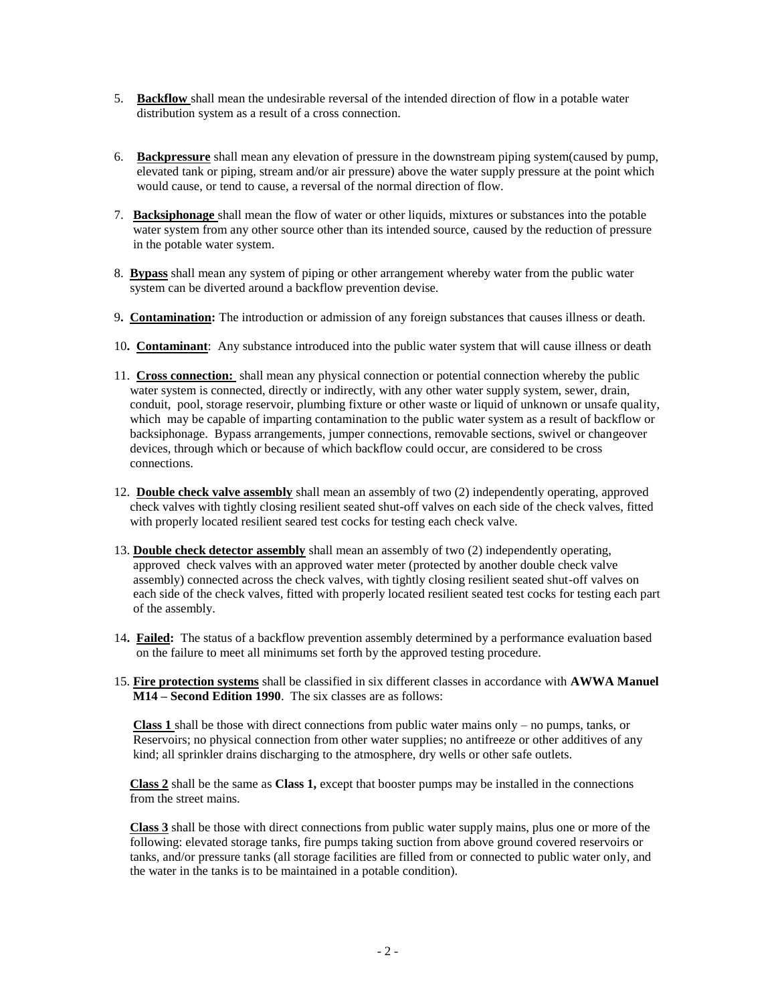- 5. **Backflow** shall mean the undesirable reversal of the intended direction of flow in a potable water distribution system as a result of a cross connection.
- 6. **Backpressure** shall mean any elevation of pressure in the downstream piping system(caused by pump, elevated tank or piping, stream and/or air pressure) above the water supply pressure at the point which would cause, or tend to cause, a reversal of the normal direction of flow.
- 7. **Backsiphonage** shall mean the flow of water or other liquids, mixtures or substances into the potable water system from any other source other than its intended source, caused by the reduction of pressure in the potable water system.
- 8. **Bypass** shall mean any system of piping or other arrangement whereby water from the public water system can be diverted around a backflow prevention devise.
- 9**. Contamination:** The introduction or admission of any foreign substances that causes illness or death.
- 10**. Contaminant**: Any substance introduced into the public water system that will cause illness or death
- 11. **Cross connection:** shall mean any physical connection or potential connection whereby the public water system is connected, directly or indirectly, with any other water supply system, sewer, drain, conduit, pool, storage reservoir, plumbing fixture or other waste or liquid of unknown or unsafe quality, which may be capable of imparting contamination to the public water system as a result of backflow or backsiphonage. Bypass arrangements, jumper connections, removable sections, swivel or changeover devices, through which or because of which backflow could occur, are considered to be cross connections.
- 12. **Double check valve assembly** shall mean an assembly of two (2) independently operating, approved check valves with tightly closing resilient seated shut-off valves on each side of the check valves, fitted with properly located resilient seared test cocks for testing each check valve.
- 13. **Double check detector assembly** shall mean an assembly of two (2) independently operating, approved check valves with an approved water meter (protected by another double check valve assembly) connected across the check valves, with tightly closing resilient seated shut-off valves on each side of the check valves, fitted with properly located resilient seated test cocks for testing each part of the assembly.
- 14**. Failed:** The status of a backflow prevention assembly determined by a performance evaluation based on the failure to meet all minimums set forth by the approved testing procedure.
- 15. **Fire protection systems** shall be classified in six different classes in accordance with **AWWA Manuel M14 – Second Edition 1990**. The six classes are as follows:

 **Class 1** shall be those with direct connections from public water mains only – no pumps, tanks, or Reservoirs; no physical connection from other water supplies; no antifreeze or other additives of any kind; all sprinkler drains discharging to the atmosphere, dry wells or other safe outlets.

 **Class 2** shall be the same as **Class 1,** except that booster pumps may be installed in the connections from the street mains.

 **Class 3** shall be those with direct connections from public water supply mains, plus one or more of the following: elevated storage tanks, fire pumps taking suction from above ground covered reservoirs or tanks, and/or pressure tanks (all storage facilities are filled from or connected to public water only, and the water in the tanks is to be maintained in a potable condition).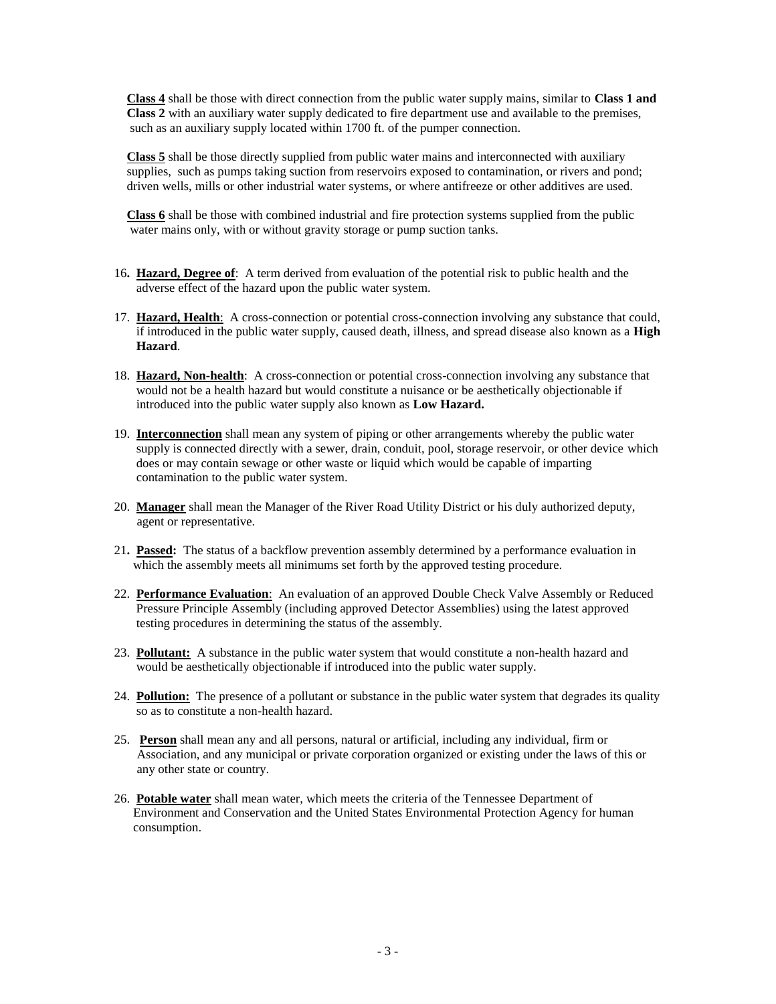**Class 4** shall be those with direct connection from the public water supply mains, similar to **Class 1 and Class 2** with an auxiliary water supply dedicated to fire department use and available to the premises, such as an auxiliary supply located within 1700 ft. of the pumper connection.

 **Class 5** shall be those directly supplied from public water mains and interconnected with auxiliary supplies, such as pumps taking suction from reservoirs exposed to contamination, or rivers and pond; driven wells, mills or other industrial water systems, or where antifreeze or other additives are used.

 **Class 6** shall be those with combined industrial and fire protection systems supplied from the public water mains only, with or without gravity storage or pump suction tanks.

- 16**. Hazard, Degree of**: A term derived from evaluation of the potential risk to public health and the adverse effect of the hazard upon the public water system.
- 17. **Hazard, Health**: A cross-connection or potential cross-connection involving any substance that could, if introduced in the public water supply, caused death, illness, and spread disease also known as a **High Hazard**.
- 18. **Hazard, Non-health**: A cross-connection or potential cross-connection involving any substance that would not be a health hazard but would constitute a nuisance or be aesthetically objectionable if introduced into the public water supply also known as **Low Hazard.**
- 19. **Interconnection** shall mean any system of piping or other arrangements whereby the public water supply is connected directly with a sewer, drain, conduit, pool, storage reservoir, or other device which does or may contain sewage or other waste or liquid which would be capable of imparting contamination to the public water system.
- 20. **Manager** shall mean the Manager of the River Road Utility District or his duly authorized deputy, agent or representative.
- 21**. Passed:** The status of a backflow prevention assembly determined by a performance evaluation in which the assembly meets all minimums set forth by the approved testing procedure.
- 22. **Performance Evaluation**: An evaluation of an approved Double Check Valve Assembly or Reduced Pressure Principle Assembly (including approved Detector Assemblies) using the latest approved testing procedures in determining the status of the assembly.
- 23. **Pollutant:** A substance in the public water system that would constitute a non-health hazard and would be aesthetically objectionable if introduced into the public water supply.
- 24. **Pollution:** The presence of a pollutant or substance in the public water system that degrades its quality so as to constitute a non-health hazard.
- 25. **Person** shall mean any and all persons, natural or artificial, including any individual, firm or Association, and any municipal or private corporation organized or existing under the laws of this or any other state or country.
- 26. **Potable water** shall mean water, which meets the criteria of the Tennessee Department of Environment and Conservation and the United States Environmental Protection Agency for human consumption.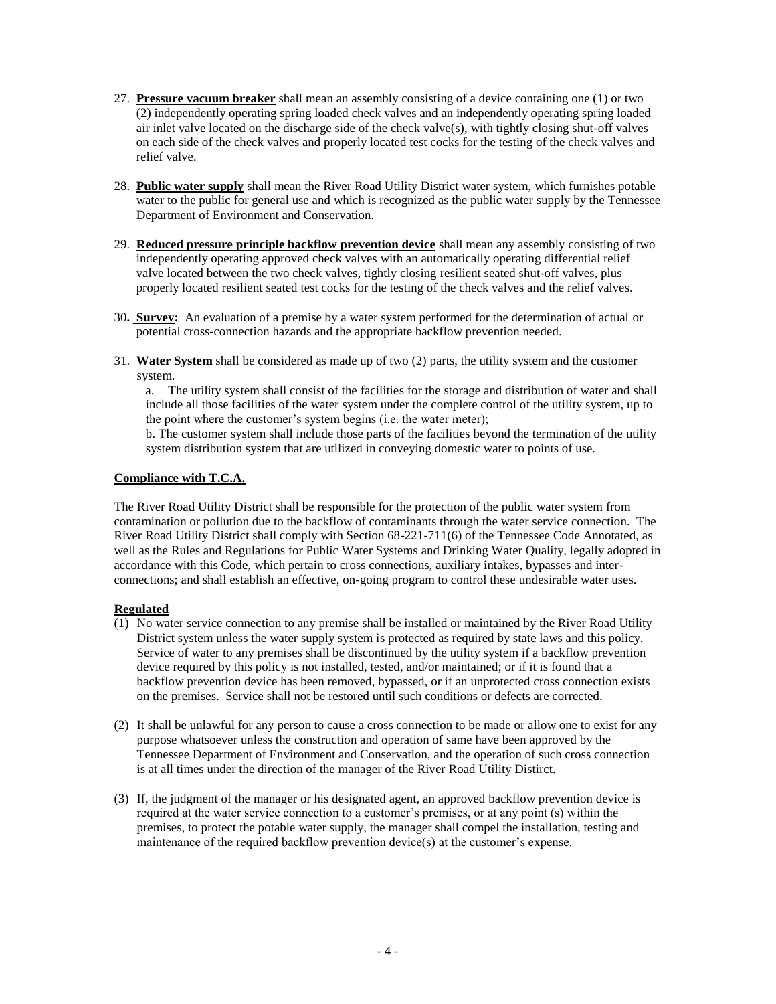- 27. **Pressure vacuum breaker** shall mean an assembly consisting of a device containing one (1) or two (2) independently operating spring loaded check valves and an independently operating spring loaded air inlet valve located on the discharge side of the check valve(s), with tightly closing shut-off valves on each side of the check valves and properly located test cocks for the testing of the check valves and relief valve.
- 28. **Public water supply** shall mean the River Road Utility District water system, which furnishes potable water to the public for general use and which is recognized as the public water supply by the Tennessee Department of Environment and Conservation.
- 29. **Reduced pressure principle backflow prevention device** shall mean any assembly consisting of two independently operating approved check valves with an automatically operating differential relief valve located between the two check valves, tightly closing resilient seated shut-off valves, plus properly located resilient seated test cocks for the testing of the check valves and the relief valves.
- 30**. Survey:** An evaluation of a premise by a water system performed for the determination of actual or potential cross-connection hazards and the appropriate backflow prevention needed.
- 31. **Water System** shall be considered as made up of two (2) parts, the utility system and the customer system.

a. The utility system shall consist of the facilities for the storage and distribution of water and shall include all those facilities of the water system under the complete control of the utility system, up to the point where the customer's system begins (i.e. the water meter);

 b. The customer system shall include those parts of the facilities beyond the termination of the utility system distribution system that are utilized in conveying domestic water to points of use.

#### **Compliance with T.C.A.**

The River Road Utility District shall be responsible for the protection of the public water system from contamination or pollution due to the backflow of contaminants through the water service connection. The River Road Utility District shall comply with Section 68-221-711(6) of the Tennessee Code Annotated, as well as the Rules and Regulations for Public Water Systems and Drinking Water Quality, legally adopted in accordance with this Code, which pertain to cross connections, auxiliary intakes, bypasses and interconnections; and shall establish an effective, on-going program to control these undesirable water uses.

#### **Regulated**

- (1) No water service connection to any premise shall be installed or maintained by the River Road Utility District system unless the water supply system is protected as required by state laws and this policy. Service of water to any premises shall be discontinued by the utility system if a backflow prevention device required by this policy is not installed, tested, and/or maintained; or if it is found that a backflow prevention device has been removed, bypassed, or if an unprotected cross connection exists on the premises. Service shall not be restored until such conditions or defects are corrected.
- (2) It shall be unlawful for any person to cause a cross connection to be made or allow one to exist for any purpose whatsoever unless the construction and operation of same have been approved by the Tennessee Department of Environment and Conservation, and the operation of such cross connection is at all times under the direction of the manager of the River Road Utility Distirct.
- (3) If, the judgment of the manager or his designated agent, an approved backflow prevention device is required at the water service connection to a customer's premises, or at any point (s) within the premises, to protect the potable water supply, the manager shall compel the installation, testing and maintenance of the required backflow prevention device(s) at the customer's expense.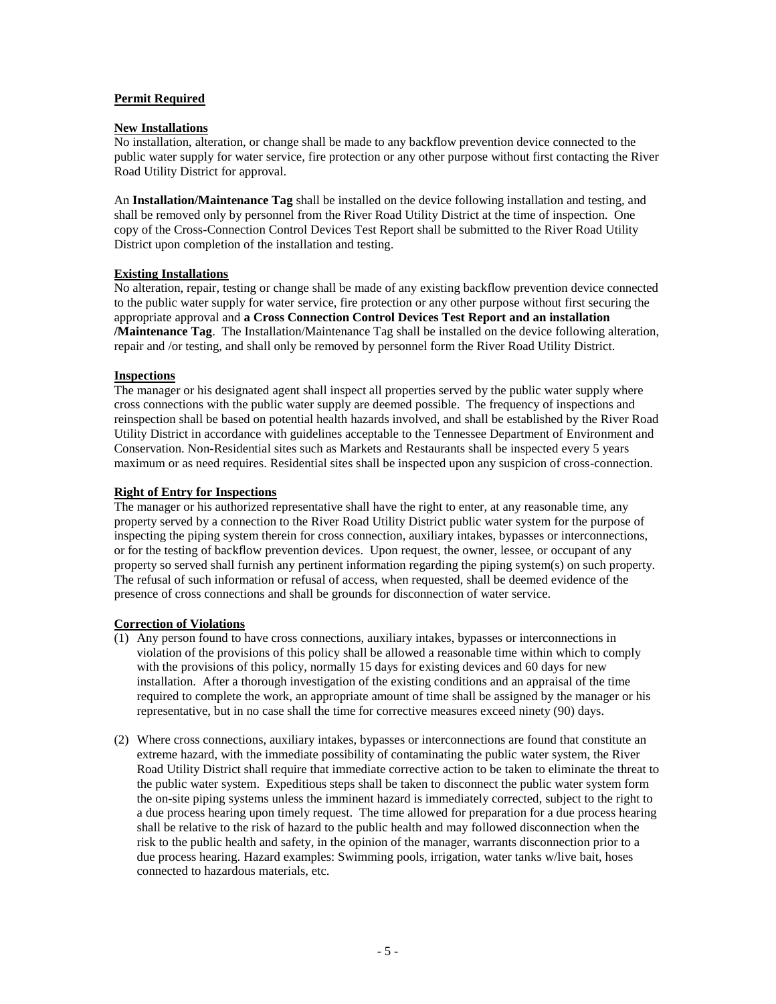#### **Permit Required**

#### **New Installations**

No installation, alteration, or change shall be made to any backflow prevention device connected to the public water supply for water service, fire protection or any other purpose without first contacting the River Road Utility District for approval.

An **Installation/Maintenance Tag** shall be installed on the device following installation and testing, and shall be removed only by personnel from the River Road Utility District at the time of inspection. One copy of the Cross-Connection Control Devices Test Report shall be submitted to the River Road Utility District upon completion of the installation and testing.

#### **Existing Installations**

No alteration, repair, testing or change shall be made of any existing backflow prevention device connected to the public water supply for water service, fire protection or any other purpose without first securing the appropriate approval and **a Cross Connection Control Devices Test Report and an installation /Maintenance Tag**. The Installation/Maintenance Tag shall be installed on the device following alteration, repair and /or testing, and shall only be removed by personnel form the River Road Utility District.

#### **Inspections**

The manager or his designated agent shall inspect all properties served by the public water supply where cross connections with the public water supply are deemed possible. The frequency of inspections and reinspection shall be based on potential health hazards involved, and shall be established by the River Road Utility District in accordance with guidelines acceptable to the Tennessee Department of Environment and Conservation. Non-Residential sites such as Markets and Restaurants shall be inspected every 5 years maximum or as need requires. Residential sites shall be inspected upon any suspicion of cross-connection.

#### **Right of Entry for Inspections**

The manager or his authorized representative shall have the right to enter, at any reasonable time, any property served by a connection to the River Road Utility District public water system for the purpose of inspecting the piping system therein for cross connection, auxiliary intakes, bypasses or interconnections, or for the testing of backflow prevention devices. Upon request, the owner, lessee, or occupant of any property so served shall furnish any pertinent information regarding the piping system(s) on such property. The refusal of such information or refusal of access, when requested, shall be deemed evidence of the presence of cross connections and shall be grounds for disconnection of water service.

## **Correction of Violations**

- (1) Any person found to have cross connections, auxiliary intakes, bypasses or interconnections in violation of the provisions of this policy shall be allowed a reasonable time within which to comply with the provisions of this policy, normally 15 days for existing devices and 60 days for new installation. After a thorough investigation of the existing conditions and an appraisal of the time required to complete the work, an appropriate amount of time shall be assigned by the manager or his representative, but in no case shall the time for corrective measures exceed ninety (90) days.
- (2) Where cross connections, auxiliary intakes, bypasses or interconnections are found that constitute an extreme hazard, with the immediate possibility of contaminating the public water system, the River Road Utility District shall require that immediate corrective action to be taken to eliminate the threat to the public water system. Expeditious steps shall be taken to disconnect the public water system form the on-site piping systems unless the imminent hazard is immediately corrected, subject to the right to a due process hearing upon timely request. The time allowed for preparation for a due process hearing shall be relative to the risk of hazard to the public health and may followed disconnection when the risk to the public health and safety, in the opinion of the manager, warrants disconnection prior to a due process hearing. Hazard examples: Swimming pools, irrigation, water tanks w/live bait, hoses connected to hazardous materials, etc.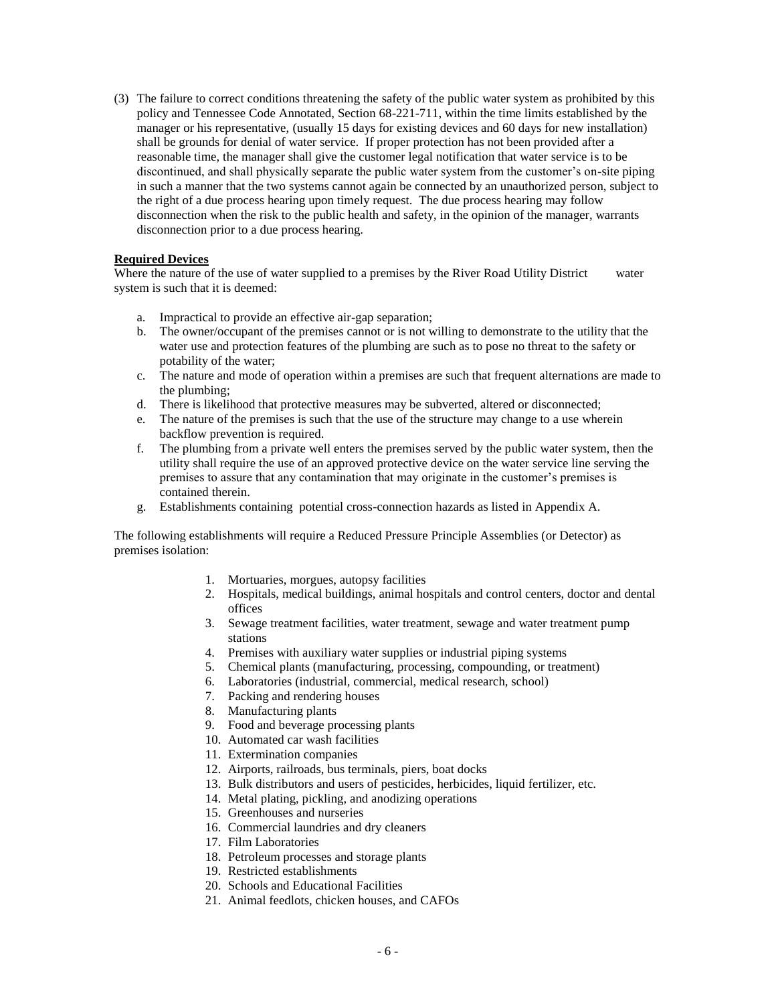(3) The failure to correct conditions threatening the safety of the public water system as prohibited by this policy and Tennessee Code Annotated, Section 68-221-711, within the time limits established by the manager or his representative, (usually 15 days for existing devices and 60 days for new installation) shall be grounds for denial of water service. If proper protection has not been provided after a reasonable time, the manager shall give the customer legal notification that water service is to be discontinued, and shall physically separate the public water system from the customer's on-site piping in such a manner that the two systems cannot again be connected by an unauthorized person, subject to the right of a due process hearing upon timely request. The due process hearing may follow disconnection when the risk to the public health and safety, in the opinion of the manager, warrants disconnection prior to a due process hearing.

#### **Required Devices**

Where the nature of the use of water supplied to a premises by the River Road Utility District water system is such that it is deemed:

- a. Impractical to provide an effective air-gap separation;
- b. The owner/occupant of the premises cannot or is not willing to demonstrate to the utility that the water use and protection features of the plumbing are such as to pose no threat to the safety or potability of the water;
- c. The nature and mode of operation within a premises are such that frequent alternations are made to the plumbing;
- d. There is likelihood that protective measures may be subverted, altered or disconnected;
- e. The nature of the premises is such that the use of the structure may change to a use wherein backflow prevention is required.
- f. The plumbing from a private well enters the premises served by the public water system, then the utility shall require the use of an approved protective device on the water service line serving the premises to assure that any contamination that may originate in the customer's premises is contained therein.
- g. Establishments containing potential cross-connection hazards as listed in Appendix A.

The following establishments will require a Reduced Pressure Principle Assemblies (or Detector) as premises isolation:

- 1. Mortuaries, morgues, autopsy facilities
- 2. Hospitals, medical buildings, animal hospitals and control centers, doctor and dental offices
- 3. Sewage treatment facilities, water treatment, sewage and water treatment pump stations
- 4. Premises with auxiliary water supplies or industrial piping systems
- 5. Chemical plants (manufacturing, processing, compounding, or treatment)
- 6. Laboratories (industrial, commercial, medical research, school)
- 7. Packing and rendering houses
- 8. Manufacturing plants
- 9. Food and beverage processing plants
- 10. Automated car wash facilities
- 11. Extermination companies
- 12. Airports, railroads, bus terminals, piers, boat docks
- 13. Bulk distributors and users of pesticides, herbicides, liquid fertilizer, etc.
- 14. Metal plating, pickling, and anodizing operations
- 15. Greenhouses and nurseries
- 16. Commercial laundries and dry cleaners
- 17. Film Laboratories
- 18. Petroleum processes and storage plants
- 19. Restricted establishments
- 20. Schools and Educational Facilities
- 21. Animal feedlots, chicken houses, and CAFOs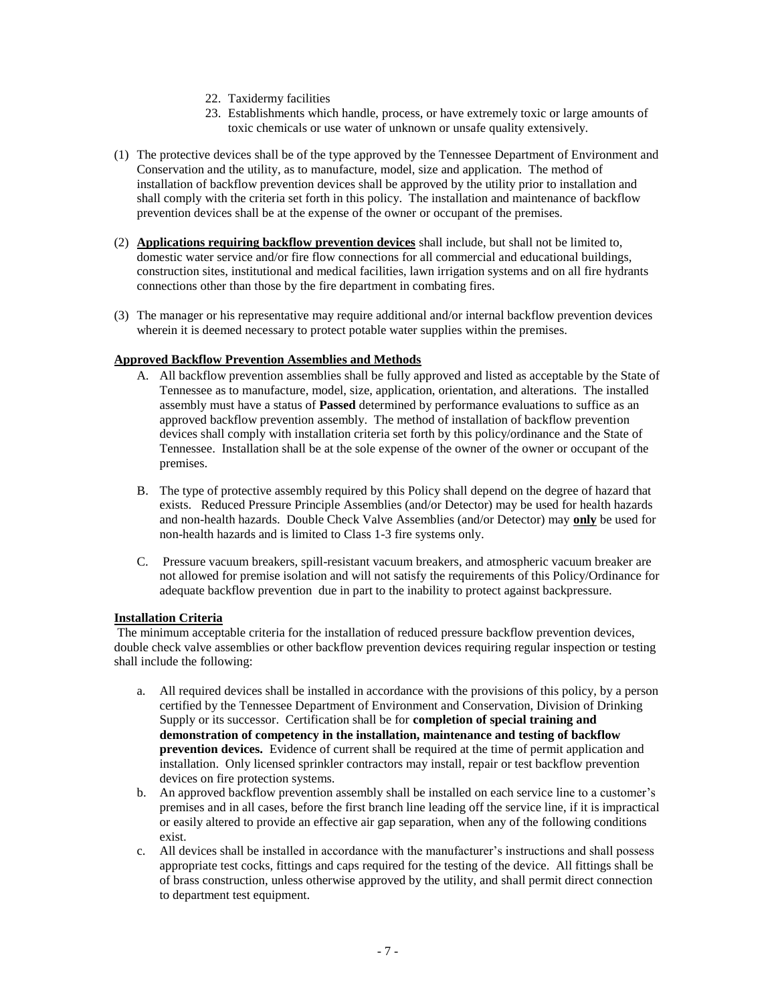- 22. Taxidermy facilities
- 23. Establishments which handle, process, or have extremely toxic or large amounts of toxic chemicals or use water of unknown or unsafe quality extensively.
- (1) The protective devices shall be of the type approved by the Tennessee Department of Environment and Conservation and the utility, as to manufacture, model, size and application. The method of installation of backflow prevention devices shall be approved by the utility prior to installation and shall comply with the criteria set forth in this policy. The installation and maintenance of backflow prevention devices shall be at the expense of the owner or occupant of the premises.
- (2) **Applications requiring backflow prevention devices** shall include, but shall not be limited to, domestic water service and/or fire flow connections for all commercial and educational buildings, construction sites, institutional and medical facilities, lawn irrigation systems and on all fire hydrants connections other than those by the fire department in combating fires.
- (3) The manager or his representative may require additional and/or internal backflow prevention devices wherein it is deemed necessary to protect potable water supplies within the premises.

#### **Approved Backflow Prevention Assemblies and Methods**

- A. All backflow prevention assemblies shall be fully approved and listed as acceptable by the State of Tennessee as to manufacture, model, size, application, orientation, and alterations. The installed assembly must have a status of **Passed** determined by performance evaluations to suffice as an approved backflow prevention assembly. The method of installation of backflow prevention devices shall comply with installation criteria set forth by this policy/ordinance and the State of Tennessee. Installation shall be at the sole expense of the owner of the owner or occupant of the premises.
- B. The type of protective assembly required by this Policy shall depend on the degree of hazard that exists. Reduced Pressure Principle Assemblies (and/or Detector) may be used for health hazards and non-health hazards. Double Check Valve Assemblies (and/or Detector) may **only** be used for non-health hazards and is limited to Class 1-3 fire systems only.
- C. Pressure vacuum breakers, spill-resistant vacuum breakers, and atmospheric vacuum breaker are not allowed for premise isolation and will not satisfy the requirements of this Policy/Ordinance for adequate backflow prevention due in part to the inability to protect against backpressure.

#### **Installation Criteria**

The minimum acceptable criteria for the installation of reduced pressure backflow prevention devices, double check valve assemblies or other backflow prevention devices requiring regular inspection or testing shall include the following:

- a. All required devices shall be installed in accordance with the provisions of this policy, by a person certified by the Tennessee Department of Environment and Conservation, Division of Drinking Supply or its successor. Certification shall be for **completion of special training and demonstration of competency in the installation, maintenance and testing of backflow prevention devices.** Evidence of current shall be required at the time of permit application and installation. Only licensed sprinkler contractors may install, repair or test backflow prevention devices on fire protection systems.
- b. An approved backflow prevention assembly shall be installed on each service line to a customer's premises and in all cases, before the first branch line leading off the service line, if it is impractical or easily altered to provide an effective air gap separation, when any of the following conditions exist.
- c. All devices shall be installed in accordance with the manufacturer's instructions and shall possess appropriate test cocks, fittings and caps required for the testing of the device. All fittings shall be of brass construction, unless otherwise approved by the utility, and shall permit direct connection to department test equipment.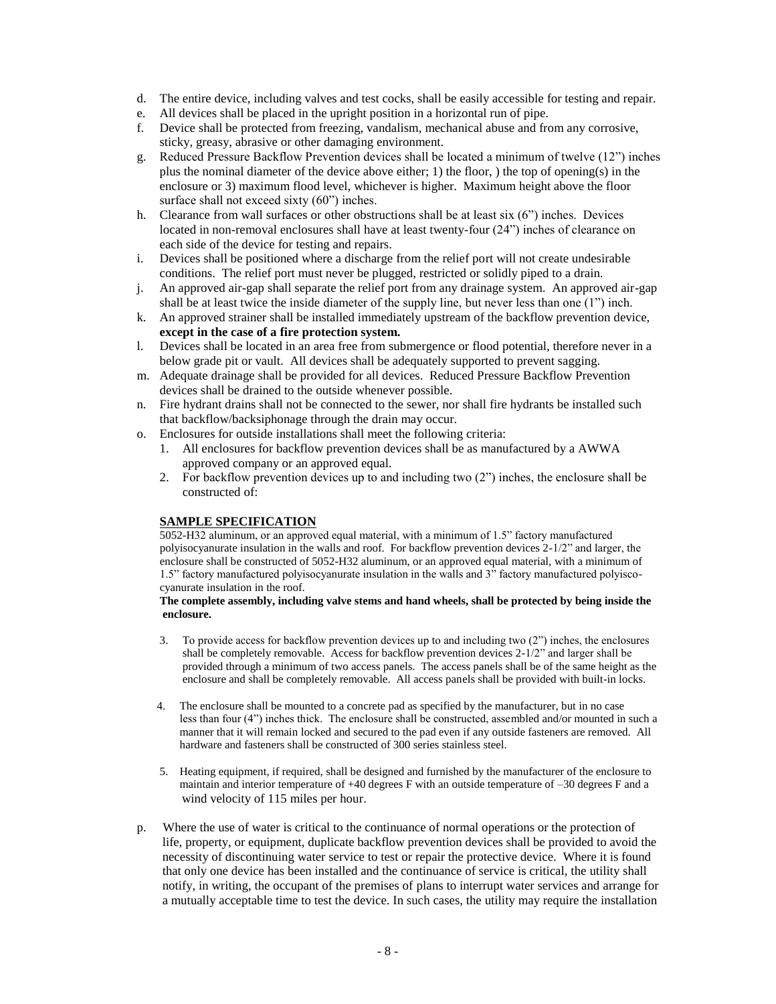- d. The entire device, including valves and test cocks, shall be easily accessible for testing and repair.
- e. All devices shall be placed in the upright position in a horizontal run of pipe.
- f. Device shall be protected from freezing, vandalism, mechanical abuse and from any corrosive, sticky, greasy, abrasive or other damaging environment.
- g. Reduced Pressure Backflow Prevention devices shall be located a minimum of twelve (12") inches plus the nominal diameter of the device above either; 1) the floor, ) the top of opening(s) in the enclosure or 3) maximum flood level, whichever is higher. Maximum height above the floor surface shall not exceed sixty (60") inches.
- h. Clearance from wall surfaces or other obstructions shall be at least six (6") inches. Devices located in non-removal enclosures shall have at least twenty-four (24") inches of clearance on each side of the device for testing and repairs.
- i. Devices shall be positioned where a discharge from the relief port will not create undesirable conditions. The relief port must never be plugged, restricted or solidly piped to a drain.
- j. An approved air-gap shall separate the relief port from any drainage system. An approved air-gap shall be at least twice the inside diameter of the supply line, but never less than one (1") inch.
- k. An approved strainer shall be installed immediately upstream of the backflow prevention device, **except in the case of a fire protection system.**
- l. Devices shall be located in an area free from submergence or flood potential, therefore never in a below grade pit or vault. All devices shall be adequately supported to prevent sagging.
- m. Adequate drainage shall be provided for all devices. Reduced Pressure Backflow Prevention devices shall be drained to the outside whenever possible.
- n. Fire hydrant drains shall not be connected to the sewer, nor shall fire hydrants be installed such that backflow/backsiphonage through the drain may occur.
- o. Enclosures for outside installations shall meet the following criteria:
	- 1. All enclosures for backflow prevention devices shall be as manufactured by a AWWA approved company or an approved equal.
	- 2. For backflow prevention devices up to and including two (2") inches, the enclosure shall be constructed of:

#### **SAMPLE SPECIFICATION**

5052-H32 aluminum, or an approved equal material, with a minimum of 1.5" factory manufactured polyisocyanurate insulation in the walls and roof. For backflow prevention devices 2-1/2" and larger, the enclosure shall be constructed of 5052-H32 aluminum, or an approved equal material, with a minimum of 1.5" factory manufactured polyisocyanurate insulation in the walls and 3" factory manufactured polyisco cyanurate insulation in the roof.

#### **The complete assembly, including valve stems and hand wheels, shall be protected by being inside the enclosure.**

- 3. To provide access for backflow prevention devices up to and including two (2") inches, the enclosures shall be completely removable. Access for backflow prevention devices 2-1/2" and larger shall be provided through a minimum of two access panels. The access panels shall be of the same height as the enclosure and shall be completely removable. All access panels shall be provided with built-in locks.
- 4. The enclosure shall be mounted to a concrete pad as specified by the manufacturer, but in no case less than four (4") inches thick. The enclosure shall be constructed, assembled and/or mounted in such a manner that it will remain locked and secured to the pad even if any outside fasteners are removed. All hardware and fasteners shall be constructed of 300 series stainless steel.
- 5. Heating equipment, if required, shall be designed and furnished by the manufacturer of the enclosure to maintain and interior temperature of +40 degrees F with an outside temperature of –30 degrees F and a wind velocity of 115 miles per hour.
- p. Where the use of water is critical to the continuance of normal operations or the protection of life, property, or equipment, duplicate backflow prevention devices shall be provided to avoid the necessity of discontinuing water service to test or repair the protective device. Where it is found that only one device has been installed and the continuance of service is critical, the utility shall notify, in writing, the occupant of the premises of plans to interrupt water services and arrange for a mutually acceptable time to test the device. In such cases, the utility may require the installation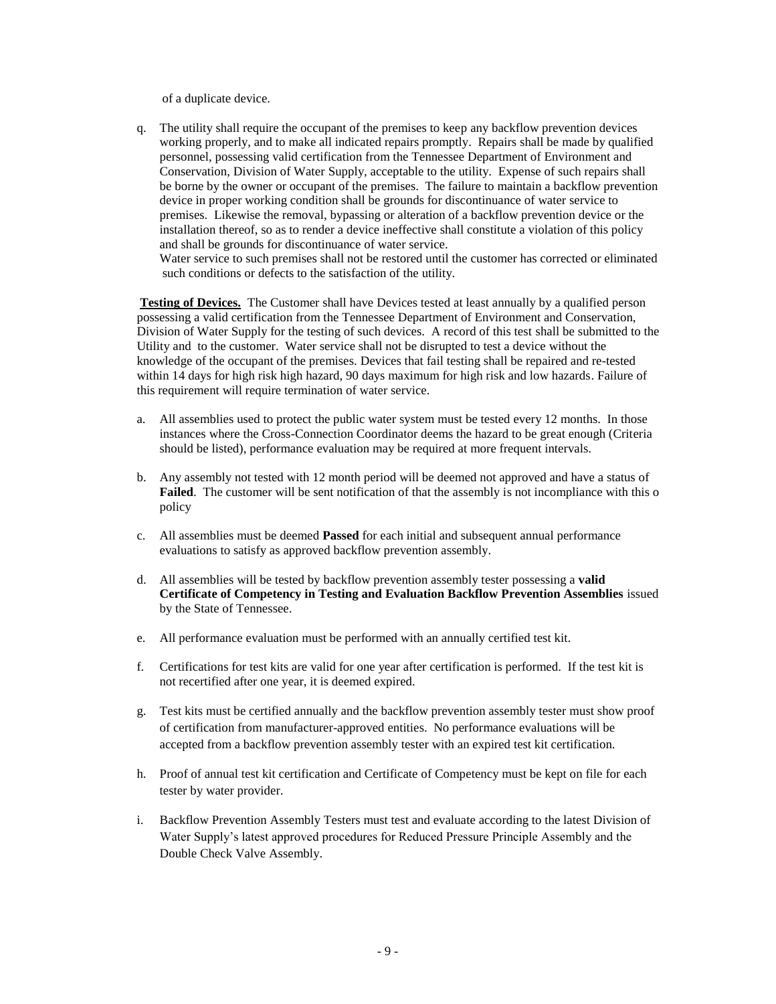of a duplicate device.

q. The utility shall require the occupant of the premises to keep any backflow prevention devices working properly, and to make all indicated repairs promptly. Repairs shall be made by qualified personnel, possessing valid certification from the Tennessee Department of Environment and Conservation, Division of Water Supply, acceptable to the utility. Expense of such repairs shall be borne by the owner or occupant of the premises. The failure to maintain a backflow prevention device in proper working condition shall be grounds for discontinuance of water service to premises. Likewise the removal, bypassing or alteration of a backflow prevention device or the installation thereof, so as to render a device ineffective shall constitute a violation of this policy and shall be grounds for discontinuance of water service.

Water service to such premises shall not be restored until the customer has corrected or eliminated such conditions or defects to the satisfaction of the utility.

**Testing of Devices.** The Customer shall have Devices tested at least annually by a qualified person possessing a valid certification from the Tennessee Department of Environment and Conservation, Division of Water Supply for the testing of such devices. A record of this test shall be submitted to the Utility and to the customer. Water service shall not be disrupted to test a device without the knowledge of the occupant of the premises. Devices that fail testing shall be repaired and re-tested within 14 days for high risk high hazard, 90 days maximum for high risk and low hazards. Failure of this requirement will require termination of water service.

- a. All assemblies used to protect the public water system must be tested every 12 months. In those instances where the Cross-Connection Coordinator deems the hazard to be great enough (Criteria should be listed), performance evaluation may be required at more frequent intervals.
- b. Any assembly not tested with 12 month period will be deemed not approved and have a status of **Failed**. The customer will be sent notification of that the assembly is not incompliance with this o policy
- c. All assemblies must be deemed **Passed** for each initial and subsequent annual performance evaluations to satisfy as approved backflow prevention assembly.
- d. All assemblies will be tested by backflow prevention assembly tester possessing a **valid Certificate of Competency in Testing and Evaluation Backflow Prevention Assemblies** issued by the State of Tennessee.
- e. All performance evaluation must be performed with an annually certified test kit.
- f. Certifications for test kits are valid for one year after certification is performed. If the test kit is not recertified after one year, it is deemed expired.
- g. Test kits must be certified annually and the backflow prevention assembly tester must show proof of certification from manufacturer-approved entities. No performance evaluations will be accepted from a backflow prevention assembly tester with an expired test kit certification.
- h. Proof of annual test kit certification and Certificate of Competency must be kept on file for each tester by water provider.
- i. Backflow Prevention Assembly Testers must test and evaluate according to the latest Division of Water Supply's latest approved procedures for Reduced Pressure Principle Assembly and the Double Check Valve Assembly.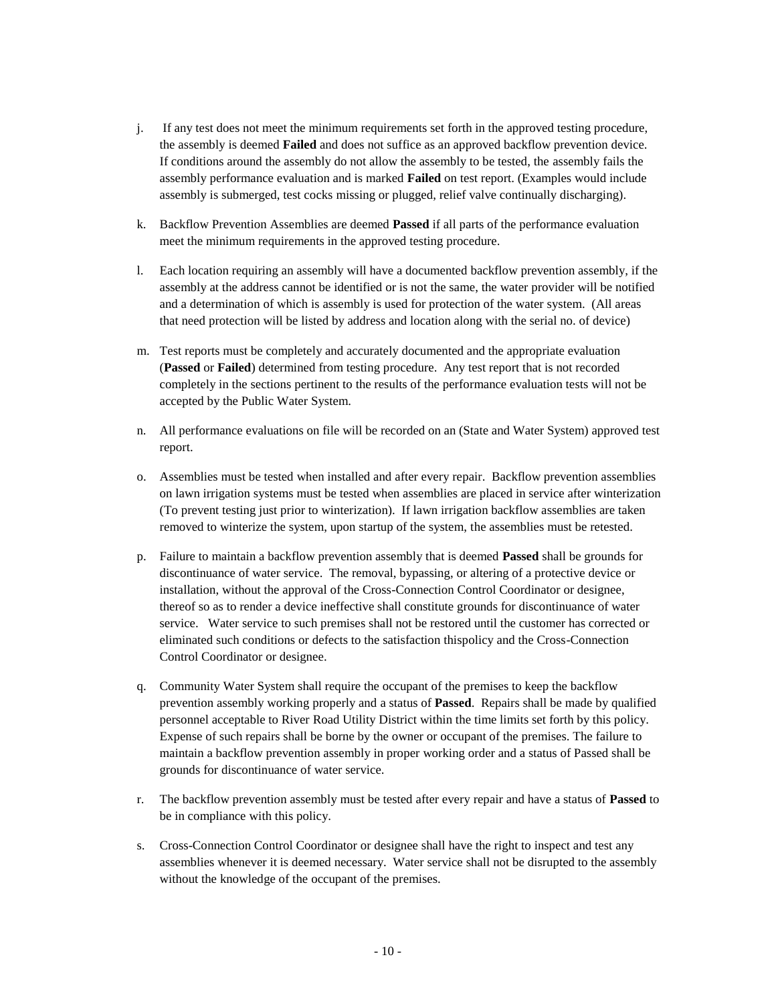- j. If any test does not meet the minimum requirements set forth in the approved testing procedure, the assembly is deemed **Failed** and does not suffice as an approved backflow prevention device. If conditions around the assembly do not allow the assembly to be tested, the assembly fails the assembly performance evaluation and is marked **Failed** on test report. (Examples would include assembly is submerged, test cocks missing or plugged, relief valve continually discharging).
- k. Backflow Prevention Assemblies are deemed **Passed** if all parts of the performance evaluation meet the minimum requirements in the approved testing procedure.
- l. Each location requiring an assembly will have a documented backflow prevention assembly, if the assembly at the address cannot be identified or is not the same, the water provider will be notified and a determination of which is assembly is used for protection of the water system. (All areas that need protection will be listed by address and location along with the serial no. of device)
- m. Test reports must be completely and accurately documented and the appropriate evaluation (**Passed** or **Failed**) determined from testing procedure. Any test report that is not recorded completely in the sections pertinent to the results of the performance evaluation tests will not be accepted by the Public Water System.
- n. All performance evaluations on file will be recorded on an (State and Water System) approved test report.
- o. Assemblies must be tested when installed and after every repair. Backflow prevention assemblies on lawn irrigation systems must be tested when assemblies are placed in service after winterization (To prevent testing just prior to winterization). If lawn irrigation backflow assemblies are taken removed to winterize the system, upon startup of the system, the assemblies must be retested.
- p. Failure to maintain a backflow prevention assembly that is deemed **Passed** shall be grounds for discontinuance of water service. The removal, bypassing, or altering of a protective device or installation, without the approval of the Cross-Connection Control Coordinator or designee, thereof so as to render a device ineffective shall constitute grounds for discontinuance of water service. Water service to such premises shall not be restored until the customer has corrected or eliminated such conditions or defects to the satisfaction thispolicy and the Cross-Connection Control Coordinator or designee.
- q. Community Water System shall require the occupant of the premises to keep the backflow prevention assembly working properly and a status of **Passed**. Repairs shall be made by qualified personnel acceptable to River Road Utility District within the time limits set forth by this policy. Expense of such repairs shall be borne by the owner or occupant of the premises. The failure to maintain a backflow prevention assembly in proper working order and a status of Passed shall be grounds for discontinuance of water service.
- r. The backflow prevention assembly must be tested after every repair and have a status of **Passed** to be in compliance with this policy.
- s. Cross-Connection Control Coordinator or designee shall have the right to inspect and test any assemblies whenever it is deemed necessary. Water service shall not be disrupted to the assembly without the knowledge of the occupant of the premises.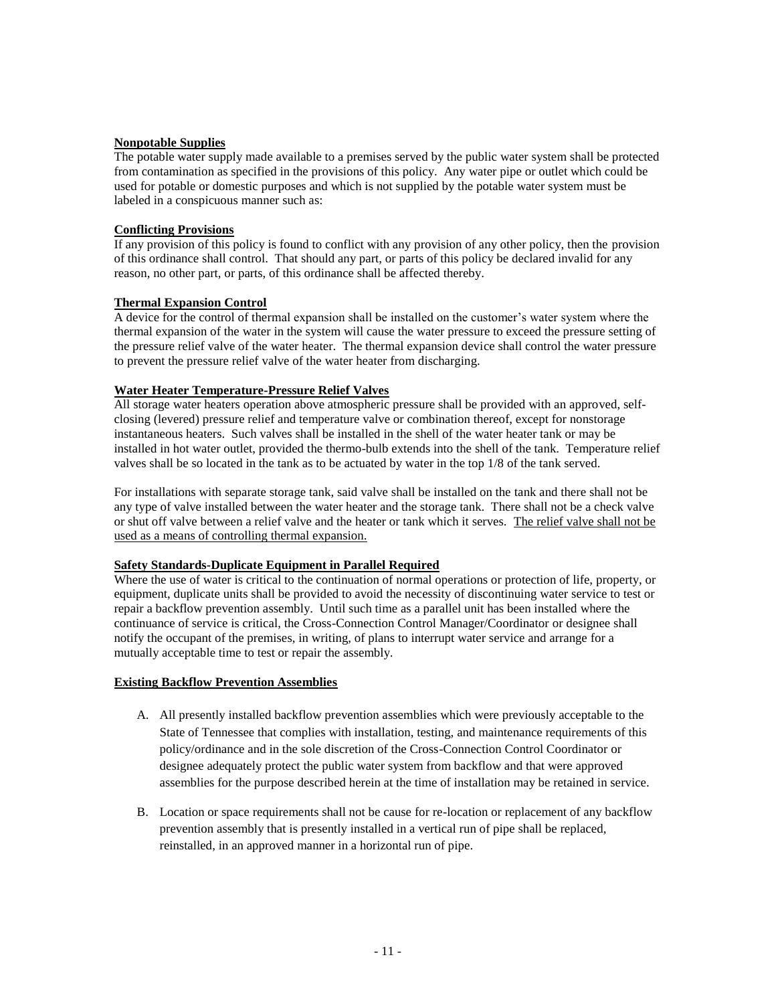#### **Nonpotable Supplies**

The potable water supply made available to a premises served by the public water system shall be protected from contamination as specified in the provisions of this policy. Any water pipe or outlet which could be used for potable or domestic purposes and which is not supplied by the potable water system must be labeled in a conspicuous manner such as:

#### **Conflicting Provisions**

If any provision of this policy is found to conflict with any provision of any other policy, then the provision of this ordinance shall control. That should any part, or parts of this policy be declared invalid for any reason, no other part, or parts, of this ordinance shall be affected thereby.

#### **Thermal Expansion Control**

A device for the control of thermal expansion shall be installed on the customer's water system where the thermal expansion of the water in the system will cause the water pressure to exceed the pressure setting of the pressure relief valve of the water heater. The thermal expansion device shall control the water pressure to prevent the pressure relief valve of the water heater from discharging.

#### **Water Heater Temperature-Pressure Relief Valves**

All storage water heaters operation above atmospheric pressure shall be provided with an approved, selfclosing (levered) pressure relief and temperature valve or combination thereof, except for nonstorage instantaneous heaters. Such valves shall be installed in the shell of the water heater tank or may be installed in hot water outlet, provided the thermo-bulb extends into the shell of the tank. Temperature relief valves shall be so located in the tank as to be actuated by water in the top 1/8 of the tank served.

For installations with separate storage tank, said valve shall be installed on the tank and there shall not be any type of valve installed between the water heater and the storage tank. There shall not be a check valve or shut off valve between a relief valve and the heater or tank which it serves. The relief valve shall not be used as a means of controlling thermal expansion.

#### **Safety Standards-Duplicate Equipment in Parallel Required**

Where the use of water is critical to the continuation of normal operations or protection of life, property, or equipment, duplicate units shall be provided to avoid the necessity of discontinuing water service to test or repair a backflow prevention assembly. Until such time as a parallel unit has been installed where the continuance of service is critical, the Cross-Connection Control Manager/Coordinator or designee shall notify the occupant of the premises, in writing, of plans to interrupt water service and arrange for a mutually acceptable time to test or repair the assembly.

#### **Existing Backflow Prevention Assemblies**

- A. All presently installed backflow prevention assemblies which were previously acceptable to the State of Tennessee that complies with installation, testing, and maintenance requirements of this policy/ordinance and in the sole discretion of the Cross-Connection Control Coordinator or designee adequately protect the public water system from backflow and that were approved assemblies for the purpose described herein at the time of installation may be retained in service.
- B. Location or space requirements shall not be cause for re-location or replacement of any backflow prevention assembly that is presently installed in a vertical run of pipe shall be replaced, reinstalled, in an approved manner in a horizontal run of pipe.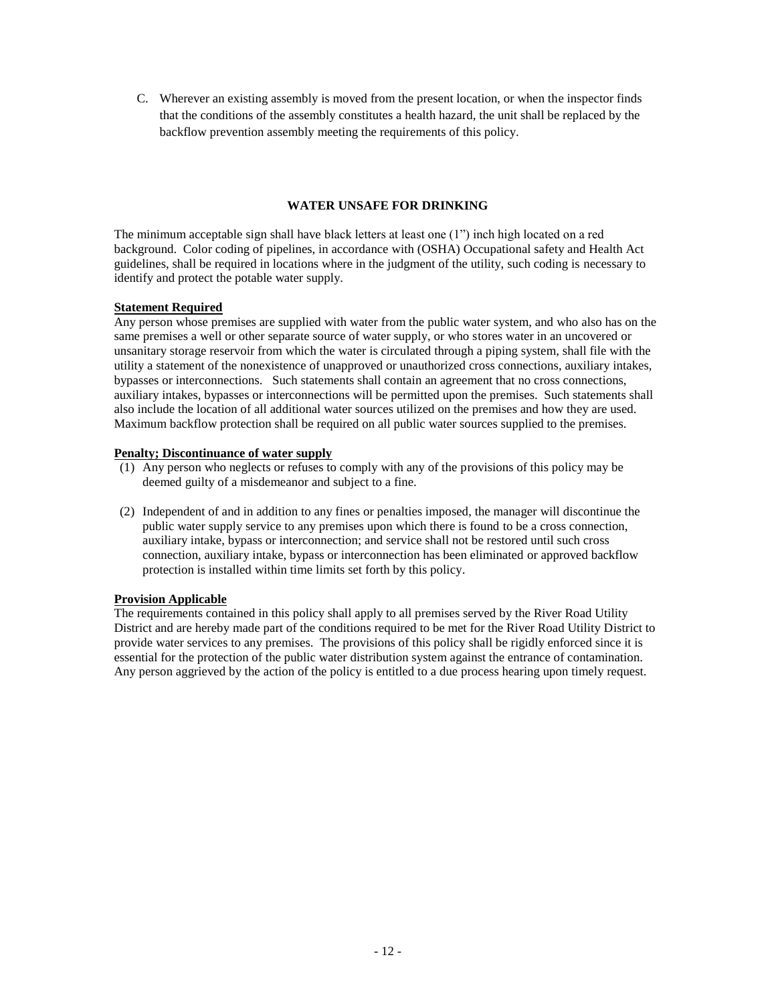C. Wherever an existing assembly is moved from the present location, or when the inspector finds that the conditions of the assembly constitutes a health hazard, the unit shall be replaced by the backflow prevention assembly meeting the requirements of this policy.

## **WATER UNSAFE FOR DRINKING**

The minimum acceptable sign shall have black letters at least one (1") inch high located on a red background. Color coding of pipelines, in accordance with (OSHA) Occupational safety and Health Act guidelines, shall be required in locations where in the judgment of the utility, such coding is necessary to identify and protect the potable water supply.

#### **Statement Required**

Any person whose premises are supplied with water from the public water system, and who also has on the same premises a well or other separate source of water supply, or who stores water in an uncovered or unsanitary storage reservoir from which the water is circulated through a piping system, shall file with the utility a statement of the nonexistence of unapproved or unauthorized cross connections, auxiliary intakes, bypasses or interconnections. Such statements shall contain an agreement that no cross connections, auxiliary intakes, bypasses or interconnections will be permitted upon the premises. Such statements shall also include the location of all additional water sources utilized on the premises and how they are used. Maximum backflow protection shall be required on all public water sources supplied to the premises.

## **Penalty; Discontinuance of water supply**

- (1) Any person who neglects or refuses to comply with any of the provisions of this policy may be deemed guilty of a misdemeanor and subject to a fine.
- (2) Independent of and in addition to any fines or penalties imposed, the manager will discontinue the public water supply service to any premises upon which there is found to be a cross connection, auxiliary intake, bypass or interconnection; and service shall not be restored until such cross connection, auxiliary intake, bypass or interconnection has been eliminated or approved backflow protection is installed within time limits set forth by this policy.

#### **Provision Applicable**

The requirements contained in this policy shall apply to all premises served by the River Road Utility District and are hereby made part of the conditions required to be met for the River Road Utility District to provide water services to any premises. The provisions of this policy shall be rigidly enforced since it is essential for the protection of the public water distribution system against the entrance of contamination. Any person aggrieved by the action of the policy is entitled to a due process hearing upon timely request.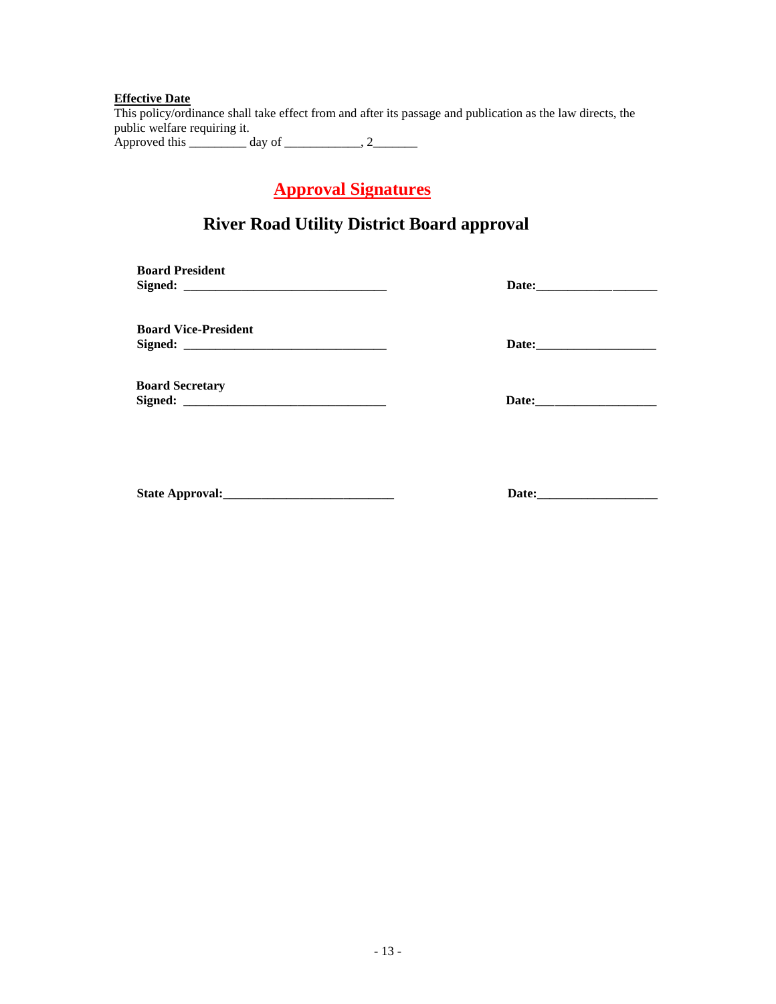#### **Effective Date**

This policy/ordinance shall take effect from and after its passage and publication as the law directs, the public welfare requiring it. Approved this \_\_\_\_\_\_\_\_\_ day of \_\_\_\_\_\_\_\_\_\_\_\_, 2\_\_\_\_\_\_\_

 **Approval Signatures**

## **River Road Utility District Board approval**

| <b>Board President</b>      |                                      |
|-----------------------------|--------------------------------------|
| <b>Board Vice-President</b> |                                      |
|                             |                                      |
| <b>Board Secretary</b>      |                                      |
|                             |                                      |
|                             |                                      |
|                             |                                      |
|                             | Date: $\_\_\_\_\_\_\_\_\_\_\_\_\_\_$ |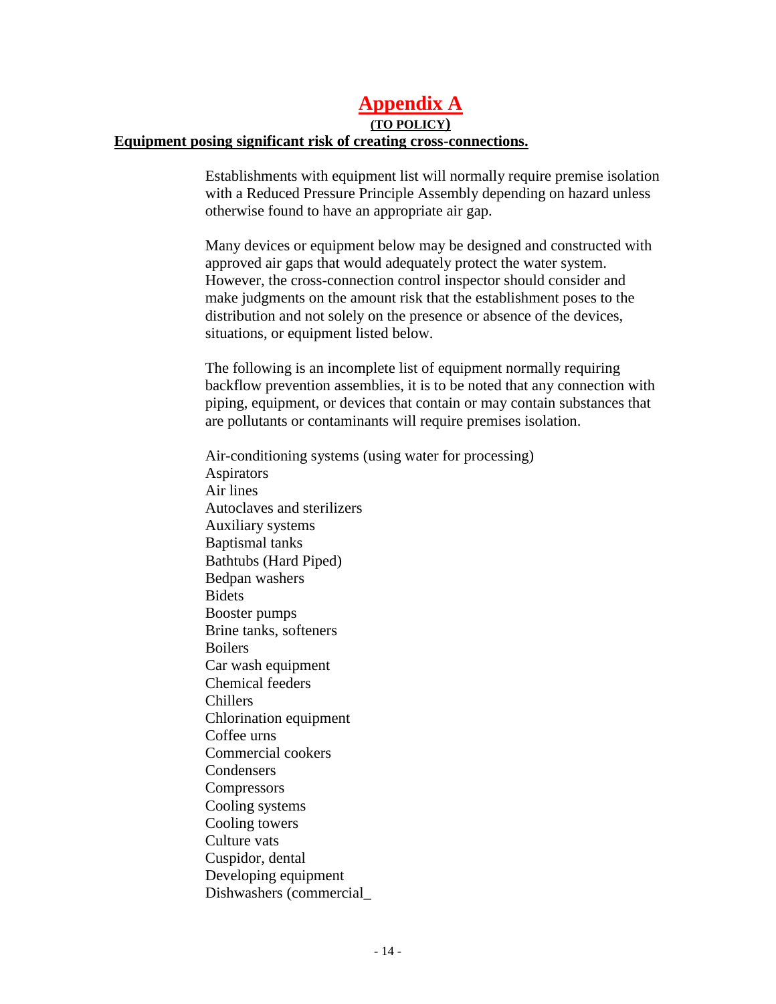## **Appendix A**

**(TO POLICY)**

## **Equipment posing significant risk of creating cross-connections.**

Establishments with equipment list will normally require premise isolation with a Reduced Pressure Principle Assembly depending on hazard unless otherwise found to have an appropriate air gap.

Many devices or equipment below may be designed and constructed with approved air gaps that would adequately protect the water system. However, the cross-connection control inspector should consider and make judgments on the amount risk that the establishment poses to the distribution and not solely on the presence or absence of the devices, situations, or equipment listed below.

The following is an incomplete list of equipment normally requiring backflow prevention assemblies, it is to be noted that any connection with piping, equipment, or devices that contain or may contain substances that are pollutants or contaminants will require premises isolation.

Air-conditioning systems (using water for processing) Aspirators Air lines Autoclaves and sterilizers Auxiliary systems Baptismal tanks Bathtubs (Hard Piped) Bedpan washers **Bidets** Booster pumps Brine tanks, softeners Boilers Car wash equipment Chemical feeders Chillers Chlorination equipment Coffee urns Commercial cookers **Condensers Compressors** Cooling systems Cooling towers Culture vats Cuspidor, dental Developing equipment Dishwashers (commercial\_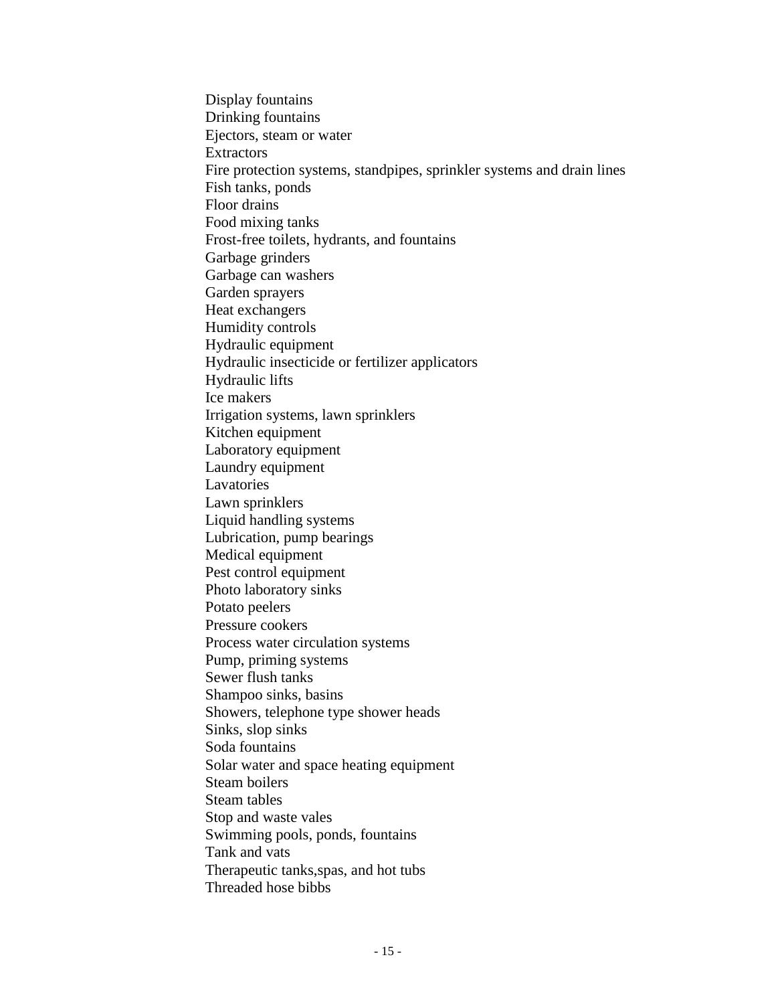Display fountains Drinking fountains Ejectors, steam or water Extractors Fire protection systems, standpipes, sprinkler systems and drain lines Fish tanks, ponds Floor drains Food mixing tanks Frost-free toilets, hydrants, and fountains Garbage grinders Garbage can washers Garden sprayers Heat exchangers Humidity controls Hydraulic equipment Hydraulic insecticide or fertilizer applicators Hydraulic lifts Ice makers Irrigation systems, lawn sprinklers Kitchen equipment Laboratory equipment Laundry equipment **Lavatories** Lawn sprinklers Liquid handling systems Lubrication, pump bearings Medical equipment Pest control equipment Photo laboratory sinks Potato peelers Pressure cookers Process water circulation systems Pump, priming systems Sewer flush tanks Shampoo sinks, basins Showers, telephone type shower heads Sinks, slop sinks Soda fountains Solar water and space heating equipment Steam boilers Steam tables Stop and waste vales Swimming pools, ponds, fountains Tank and vats Therapeutic tanks,spas, and hot tubs Threaded hose bibbs